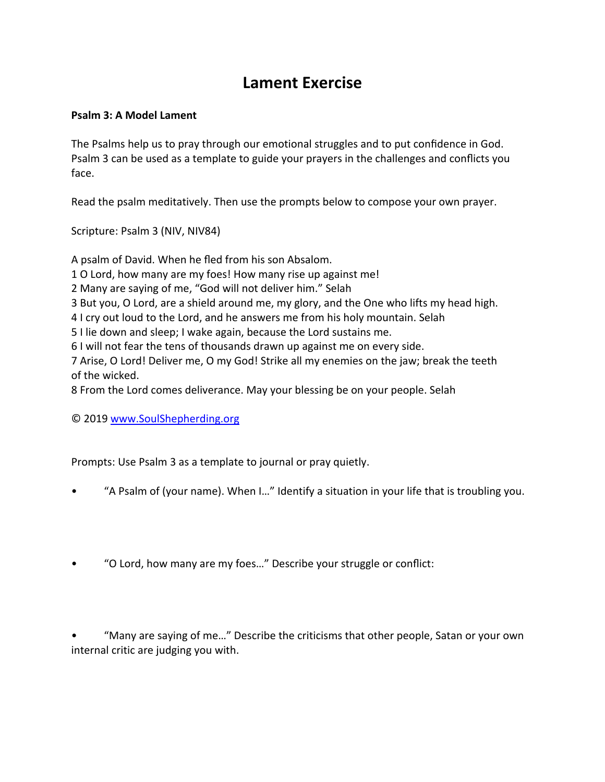## **Lament Exercise**

## **Psalm 3: A Model Lament**

The Psalms help us to pray through our emotional struggles and to put confidence in God. Psalm 3 can be used as a template to guide your prayers in the challenges and conflicts you face.

Read the psalm meditatively. Then use the prompts below to compose your own prayer.

Scripture: Psalm 3 (NIV, NIV84)

A psalm of David. When he fled from his son Absalom.

- 1 O Lord, how many are my foes! How many rise up against me!
- 2 Many are saying of me, "God will not deliver him." Selah
- 3 But you, O Lord, are a shield around me, my glory, and the One who lifts my head high.
- 4 I cry out loud to the Lord, and he answers me from his holy mountain. Selah
- 5 I lie down and sleep; I wake again, because the Lord sustains me.
- 6 I will not fear the tens of thousands drawn up against me on every side.

7 Arise, O Lord! Deliver me, O my God! Strike all my enemies on the jaw; break the teeth of the wicked.

8 From the Lord comes deliverance. May your blessing be on your people. Selah

© 2019 www.SoulShepherding.org

Prompts: Use Psalm 3 as a template to journal or pray quietly.

- "A Psalm of (your name). When I…" Identify a situation in your life that is troubling you.
- "O Lord, how many are my foes…" Describe your struggle or conflict:

• "Many are saying of me…" Describe the criticisms that other people, Satan or your own internal critic are judging you with.